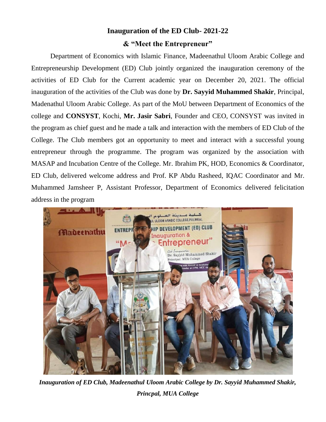## **Inauguration of the ED Club- 2021-22 & "Meet the Entrepreneur"**

Department of Economics with Islamic Finance, Madeenathul Uloom Arabic College and Entrepreneurship Development (ED) Club jointly organized the inauguration ceremony of the activities of ED Club for the Current academic year on December 20, 2021. The official inauguration of the activities of the Club was done by **Dr. Sayyid Muhammed Shakir**, Principal, Madenathul Uloom Arabic College. As part of the MoU between Department of Economics of the college and **CONSYST**, Kochi, **Mr. Jasir Sabri**, Founder and CEO, CONSYST was invited in the program as chief guest and he made a talk and interaction with the members of ED Club of the College. The Club members got an opportunity to meet and interact with a successful young entrepreneur through the programme. The program was organized by the association with MASAP and Incubation Centre of the College. Mr. Ibrahim PK, HOD, Economics & Coordinator, ED Club, delivered welcome address and Prof. KP Abdu Rasheed, IQAC Coordinator and Mr. Muhammed Jamsheer P, Assistant Professor, Department of Economics delivered felicitation address in the program



*Inauguration of ED Club, Madeenathul Uloom Arabic College by Dr. Sayyid Muhammed Shakir, Princpal, MUA College*